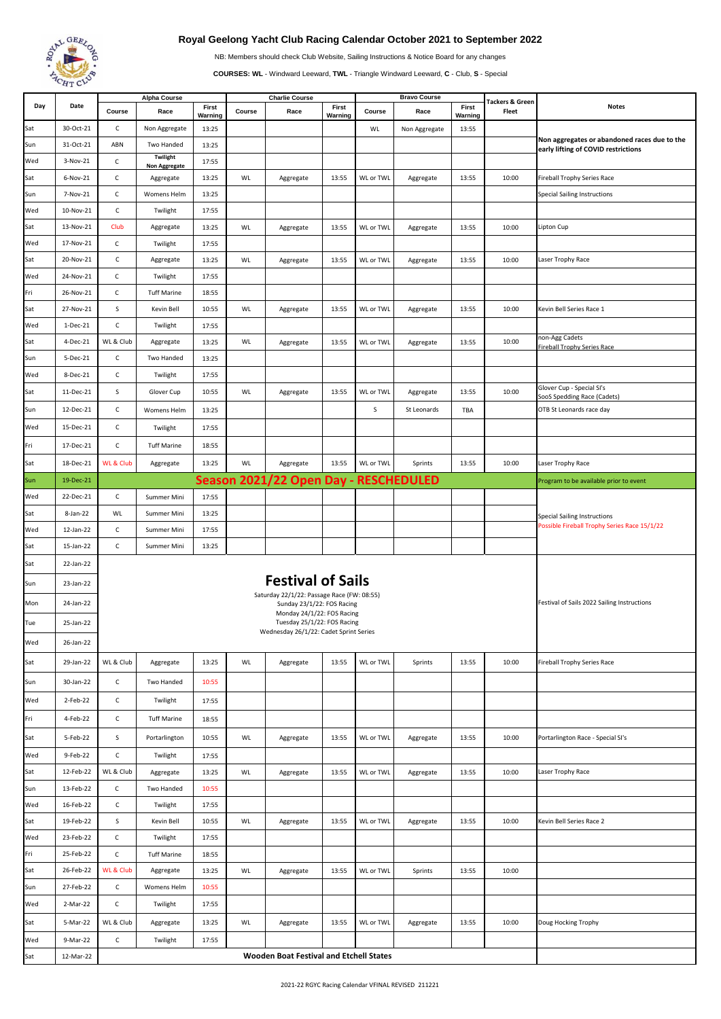

## **Royal Geelong Yacht Club Racing Calendar October 2021 to September 2022**

NB: Members should check Club Website, Sailing Instructions & Notice Board for any changes

**COURSES: WL** - Windward Leeward, **TWL** - Triangle Windward Leeward, **C** - Club, **S** - Special

|     | Date                   | <b>Alpha Course</b>                     |                                                                                                                                                                                                                                |                  |        | <b>Charlie Course</b>                 |                  |           | <b>Bravo Course</b> |                  | <b>Tackers &amp; Green</b> |                                                                                     |
|-----|------------------------|-----------------------------------------|--------------------------------------------------------------------------------------------------------------------------------------------------------------------------------------------------------------------------------|------------------|--------|---------------------------------------|------------------|-----------|---------------------|------------------|----------------------------|-------------------------------------------------------------------------------------|
| Day |                        | Course                                  | Race                                                                                                                                                                                                                           | First<br>Warning | Course | Race                                  | First<br>Warning | Course    | Race                | First<br>Warning | Fleet                      | <b>Notes</b>                                                                        |
| Sat | 30-Oct-21              | $\mathsf{C}$                            | Non Aggregate                                                                                                                                                                                                                  | 13:25            |        |                                       |                  | WL        | Non Aggregate       | 13:55            |                            |                                                                                     |
| Sun | 31-Oct-21              | ABN                                     | Two Handed                                                                                                                                                                                                                     | 13:25            |        |                                       |                  |           |                     |                  |                            | Non aggregates or abandoned races due to the<br>early lifting of COVID restrictions |
| Wed | 3-Nov-21               | C                                       | Twilight<br>Non Aggregate                                                                                                                                                                                                      | 17:55            |        |                                       |                  |           |                     |                  |                            |                                                                                     |
| Sat | 6-Nov-21               | C                                       | Aggregate                                                                                                                                                                                                                      | 13:25            | WL     | Aggregate                             | 13:55            | WL or TWL | Aggregate           | 13:55            | 10:00                      | <b>Fireball Trophy Series Race</b>                                                  |
| Sun | 7-Nov-21               | C                                       | Womens Helm                                                                                                                                                                                                                    | 13:25            |        |                                       |                  |           |                     |                  |                            | <b>Special Sailing Instructions</b>                                                 |
| Wed | 10-Nov-21              | C                                       | Twilight                                                                                                                                                                                                                       | 17:55            |        |                                       |                  |           |                     |                  |                            |                                                                                     |
| Sat | 13-Nov-21              | Club                                    | Aggregate                                                                                                                                                                                                                      | 13:25            | WL     | Aggregate                             | 13:55            | WL or TWL | Aggregate           | 13:55            | 10:00                      | Lipton Cup                                                                          |
| Wed | 17-Nov-21              | C                                       | Twilight                                                                                                                                                                                                                       | 17:55            |        |                                       |                  |           |                     |                  |                            |                                                                                     |
| Sat | 20-Nov-21              | C                                       | Aggregate                                                                                                                                                                                                                      | 13:25            | WL     | Aggregate                             | 13:55            | WL or TWL | Aggregate           | 13:55            | 10:00                      | Laser Trophy Race                                                                   |
| Wed | 24-Nov-21              | $\mathsf{C}$                            | Twilight                                                                                                                                                                                                                       | 17:55            |        |                                       |                  |           |                     |                  |                            |                                                                                     |
| Fri | 26-Nov-21              | $\mathsf{C}$                            | <b>Tuff Marine</b>                                                                                                                                                                                                             | 18:55            |        |                                       |                  |           |                     |                  |                            |                                                                                     |
| Sat | 27-Nov-21              | S                                       | Kevin Bell                                                                                                                                                                                                                     | 10:55            | WL     | Aggregate                             | 13:55            | WL or TWL | Aggregate           | 13:55            | 10:00                      | Kevin Bell Series Race 1                                                            |
| Wed | 1-Dec-21               | C                                       | Twilight                                                                                                                                                                                                                       | 17:55            |        |                                       |                  |           |                     |                  |                            |                                                                                     |
| Sat | 4-Dec-21               | WL & Club                               | Aggregate                                                                                                                                                                                                                      | 13:25            | WL     | Aggregate                             | 13:55            | WL or TWL | Aggregate           | 13:55            | 10:00                      | non-Agg Cadets<br><b>Fireball Trophy Series Race</b>                                |
| Sun | 5-Dec-21               | C                                       | Two Handed                                                                                                                                                                                                                     | 13:25            |        |                                       |                  |           |                     |                  |                            |                                                                                     |
| Wed | 8-Dec-21               | C                                       | Twilight                                                                                                                                                                                                                       | 17:55            |        |                                       |                  |           |                     |                  |                            |                                                                                     |
| Sat | 11-Dec-21              | S                                       | Glover Cup                                                                                                                                                                                                                     | 10:55            | WL     | Aggregate                             | 13:55            | WL or TWL | Aggregate           | 13:55            | 10:00                      | Glover Cup - Special SI's                                                           |
| Sun | 12-Dec-21              | $\mathsf{C}$                            | Womens Helm                                                                                                                                                                                                                    | 13:25            |        |                                       |                  | S         | St Leonards         | TBA              |                            | SooS Spedding Race (Cadets)<br>OTB St Leonards race day                             |
| Wed | 15-Dec-21              | $\mathsf{C}$                            | Twilight                                                                                                                                                                                                                       | 17:55            |        |                                       |                  |           |                     |                  |                            |                                                                                     |
|     |                        |                                         |                                                                                                                                                                                                                                |                  |        |                                       |                  |           |                     |                  |                            |                                                                                     |
| Fri | 17-Dec-21              | $\mathsf{C}$                            | <b>Tuff Marine</b>                                                                                                                                                                                                             | 18:55            |        |                                       |                  |           |                     |                  |                            |                                                                                     |
| Sat | 18-Dec-21              | <b>WL &amp; Club</b>                    | Aggregate                                                                                                                                                                                                                      | 13:25            | WL     | Aggregate                             | 13:55            | WL or TWL | Sprints             | 13:55            | 10:00                      | Laser Trophy Race                                                                   |
| Sun | 19-Dec-21              |                                         |                                                                                                                                                                                                                                |                  |        | Season 2021/22 Open Day - RESCHEDULED |                  |           |                     |                  |                            | Program to be available prior to event                                              |
| Wed | 22-Dec-21              | C                                       | Summer Mini                                                                                                                                                                                                                    | 17:55            |        |                                       |                  |           |                     |                  |                            |                                                                                     |
| Sat | 8-Jan-22               | WL                                      | Summer Mini                                                                                                                                                                                                                    | 13:25            |        |                                       |                  |           |                     |                  |                            | <b>Special Sailing Instructions</b><br>Possible Fireball Trophy Series Race 15/1/22 |
| Wed | 12-Jan-22              | C                                       | Summer Mini                                                                                                                                                                                                                    | 17:55            |        |                                       |                  |           |                     |                  |                            |                                                                                     |
| Sat | 15-Jan-22              | $\mathsf{C}$                            | Summer Mini                                                                                                                                                                                                                    | 13:25            |        |                                       |                  |           |                     |                  |                            |                                                                                     |
| Sat | 22-Jan-22              |                                         |                                                                                                                                                                                                                                |                  |        |                                       |                  |           |                     |                  |                            |                                                                                     |
| Sun | 23-Jan-22              |                                         | <b>Festival of Sails</b>                                                                                                                                                                                                       |                  |        |                                       |                  |           |                     |                  |                            |                                                                                     |
| Mon | 24-Jan-22              |                                         | Saturday 22/1/22: Passage Race (FW: 08:55)<br>Festival of Sails 2022 Sailing Instructions<br>Sunday 23/1/22: FOS Racing<br>Monday 24/1/22: FOS Racing<br>Tuesday 25/1/22: FOS Racing<br>Wednesday 26/1/22: Cadet Sprint Series |                  |        |                                       |                  |           |                     |                  |                            |                                                                                     |
| Tue | 25-Jan-22              |                                         |                                                                                                                                                                                                                                |                  |        |                                       |                  |           |                     |                  |                            |                                                                                     |
|     |                        |                                         |                                                                                                                                                                                                                                |                  |        |                                       |                  |           |                     |                  |                            |                                                                                     |
| Wed | 26-Jan-22              |                                         |                                                                                                                                                                                                                                |                  |        |                                       |                  |           |                     |                  |                            |                                                                                     |
| Sat | 29-Jan-22              | WL & Club                               | Aggregate                                                                                                                                                                                                                      | 13:25            | WL     | Aggregate                             | 13:55            | WL or TWL | Sprints             | 13:55            | 10:00                      | <b>Fireball Trophy Series Race</b>                                                  |
| Sun | 30-Jan-22              | $\mathsf{C}$                            | Two Handed                                                                                                                                                                                                                     | 10:55            |        |                                       |                  |           |                     |                  |                            |                                                                                     |
| Wed | 2-Feb-22               | $\mathsf{C}$                            | Twilight                                                                                                                                                                                                                       | 17:55            |        |                                       |                  |           |                     |                  |                            |                                                                                     |
| Fri | 4-Feb-22               | C                                       | <b>Tuff Marine</b>                                                                                                                                                                                                             | 18:55            |        |                                       |                  |           |                     |                  |                            |                                                                                     |
| Sat | 5-Feb-22               | s                                       | Portarlington                                                                                                                                                                                                                  | 10:55            | WL     | Aggregate                             | 13:55            | WL or TWL | Aggregate           | 13:55            | 10:00                      | Portarlington Race - Special SI's                                                   |
| Wed | 9-Feb-22               | C                                       |                                                                                                                                                                                                                                | 17:55            |        |                                       |                  |           |                     |                  |                            |                                                                                     |
|     | 12-Feb-22              | WL & Club                               | Twilight<br>Aggregate                                                                                                                                                                                                          | 13:25            | WL     | Aggregate                             | 13:55            | WL or TWL | Aggregate           | 13:55            | 10:00                      | Laser Trophy Race                                                                   |
| Sat | 13-Feb-22              |                                         | Two Handed                                                                                                                                                                                                                     |                  |        |                                       |                  |           |                     |                  |                            |                                                                                     |
| Sun |                        | $\mathsf{C}$                            |                                                                                                                                                                                                                                | 10:55            |        |                                       |                  |           |                     |                  |                            |                                                                                     |
| Wed | 16-Feb-22<br>19-Feb-22 | C<br>S                                  | Twilight                                                                                                                                                                                                                       | 17:55            |        |                                       |                  |           |                     |                  |                            | Kevin Bell Series Race 2                                                            |
| Sat |                        |                                         | Kevin Bell                                                                                                                                                                                                                     | 10:55            | WL     | Aggregate                             | 13:55            | WL or TWL | Aggregate           | 13:55            | 10:00                      |                                                                                     |
| Wed | 23-Feb-22              | $\mathsf{C}$                            | Twilight                                                                                                                                                                                                                       | 17:55            |        |                                       |                  |           |                     |                  |                            |                                                                                     |
| Fri | 25-Feb-22              | $\mathsf{C}$                            | <b>Tuff Marine</b>                                                                                                                                                                                                             | 18:55            |        |                                       |                  |           |                     |                  |                            |                                                                                     |
| Sat | 26-Feb-22              | WL & Club                               | Aggregate                                                                                                                                                                                                                      | 13:25            | WL     | Aggregate                             | 13:55            | WL or TWL | Sprints             | 13:55            | 10:00                      |                                                                                     |
| Sun | 27-Feb-22              | $\mathsf{C}$                            | Womens Helm                                                                                                                                                                                                                    | 10:55            |        |                                       |                  |           |                     |                  |                            |                                                                                     |
| Wed | 2-Mar-22               | $\mathsf{C}$                            | Twilight                                                                                                                                                                                                                       | 17:55            |        |                                       |                  |           |                     |                  |                            |                                                                                     |
| Sat | 5-Mar-22               | WL & Club                               | Aggregate                                                                                                                                                                                                                      | 13:25            | WL     | Aggregate                             | 13:55            | WL or TWL | Aggregate           | 13:55            | 10:00                      | Doug Hocking Trophy                                                                 |
| Wed | 9-Mar-22               | $\mathsf C$                             | Twilight                                                                                                                                                                                                                       | 17:55            |        |                                       |                  |           |                     |                  |                            |                                                                                     |
| Sat | 12-Mar-22              | Wooden Boat Festival and Etchell States |                                                                                                                                                                                                                                |                  |        |                                       |                  |           |                     |                  |                            |                                                                                     |